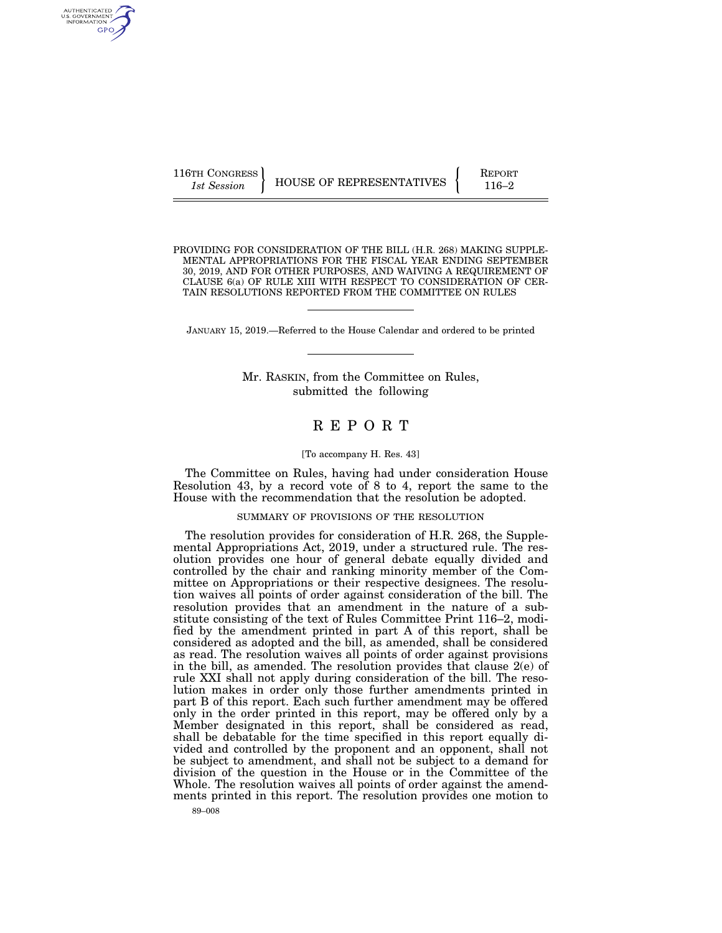AUTHENTICATED<br>U.S. GOVERNMENT<br>INFORMATION GPO

116TH CONGRESS **REPORT 116** HOUSE OF REPRESENTATIVES **PERIODE 116–2** 

PROVIDING FOR CONSIDERATION OF THE BILL (H.R. 268) MAKING SUPPLE-MENTAL APPROPRIATIONS FOR THE FISCAL YEAR ENDING SEPTEMBER 30, 2019, AND FOR OTHER PURPOSES, AND WAIVING A REQUIREMENT OF CLAUSE 6(a) OF RULE XIII WITH RESPECT TO CONSIDERATION OF CER-TAIN RESOLUTIONS REPORTED FROM THE COMMITTEE ON RULES

JANUARY 15, 2019.—Referred to the House Calendar and ordered to be printed

Mr. RASKIN, from the Committee on Rules, submitted the following

# R E P O R T

### [To accompany H. Res. 43]

The Committee on Rules, having had under consideration House Resolution 43, by a record vote of 8 to 4, report the same to the House with the recommendation that the resolution be adopted.

### SUMMARY OF PROVISIONS OF THE RESOLUTION

The resolution provides for consideration of H.R. 268, the Supplemental Appropriations Act, 2019, under a structured rule. The resolution provides one hour of general debate equally divided and controlled by the chair and ranking minority member of the Committee on Appropriations or their respective designees. The resolution waives all points of order against consideration of the bill. The resolution provides that an amendment in the nature of a substitute consisting of the text of Rules Committee Print 116–2, modified by the amendment printed in part A of this report, shall be considered as adopted and the bill, as amended, shall be considered as read. The resolution waives all points of order against provisions in the bill, as amended. The resolution provides that clause 2(e) of rule XXI shall not apply during consideration of the bill. The resolution makes in order only those further amendments printed in part B of this report. Each such further amendment may be offered only in the order printed in this report, may be offered only by a Member designated in this report, shall be considered as read, shall be debatable for the time specified in this report equally divided and controlled by the proponent and an opponent, shall not be subject to amendment, and shall not be subject to a demand for division of the question in the House or in the Committee of the Whole. The resolution waives all points of order against the amendments printed in this report. The resolution provides one motion to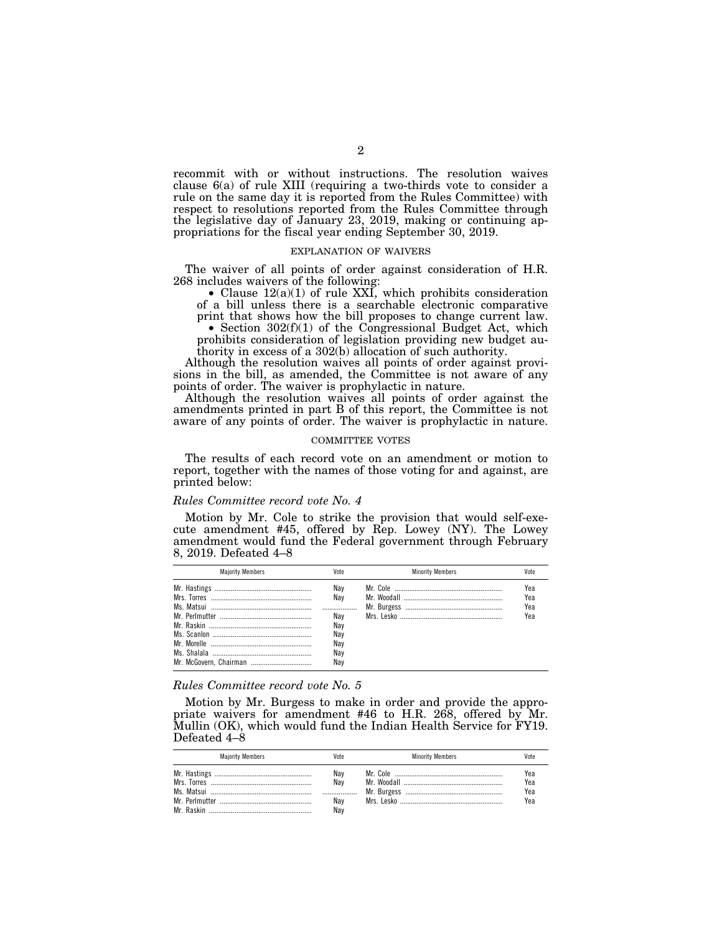recommit with or without instructions. The resolution waives clause 6(a) of rule XIII (requiring a two-thirds vote to consider a rule on the same day it is reported from the Rules Committee) with respect to resolutions reported from the Rules Committee through the legislative day of January 23, 2019, making or continuing appropriations for the fiscal year ending September 30, 2019.

### EXPLANATION OF WAIVERS

The waiver of all points of order against consideration of H.R. 268 includes waivers of the following:

• Clause  $12(a)(1)$  of rule XXI, which prohibits consideration of a bill unless there is a searchable electronic comparative

print that shows how the bill proposes to change current law.<br>• Section  $302(f)(1)$  of the Congressional Budget Act, which prohibits consideration of legislation providing new budget authority in excess of a 302(b) allocation of such authority.

Although the resolution waives all points of order against provisions in the bill, as amended, the Committee is not aware of any points of order. The waiver is prophylactic in nature.

Although the resolution waives all points of order against the amendments printed in part B of this report, the Committee is not aware of any points of order. The waiver is prophylactic in nature.

### COMMITTEE VOTES

The results of each record vote on an amendment or motion to report, together with the names of those voting for and against, are printed below:

#### *Rules Committee record vote No. 4*

Motion by Mr. Cole to strike the provision that would self-execute amendment #45, offered by Rep. Lowey (NY). The Lowey amendment would fund the Federal government through February 8, 2019. Defeated 4–8

| <b>Maiority Members</b> |     | <b>Minority Members</b> |     |
|-------------------------|-----|-------------------------|-----|
|                         | Nav |                         | Yea |
|                         | Nav |                         | Yea |
|                         |     |                         | Yea |
|                         | Nav |                         | Yea |
|                         | Nay |                         |     |
|                         | Nav |                         |     |
|                         | Nav |                         |     |
|                         | Nav |                         |     |
|                         | Nav |                         |     |
|                         |     |                         |     |

### *Rules Committee record vote No. 5*

Motion by Mr. Burgess to make in order and provide the appropriate waivers for amendment #46 to H.R. 268, offered by Mr. Mullin (OK), which would fund the Indian Health Service for FY19. Defeated 4–8

| <b>Maiority Members</b> | /ote                     | <b>Minority Members</b> | Vote                     |
|-------------------------|--------------------------|-------------------------|--------------------------|
|                         | Nav<br>Nav<br>Nay<br>Nav |                         | Yea<br>Yea<br>Yea<br>Yea |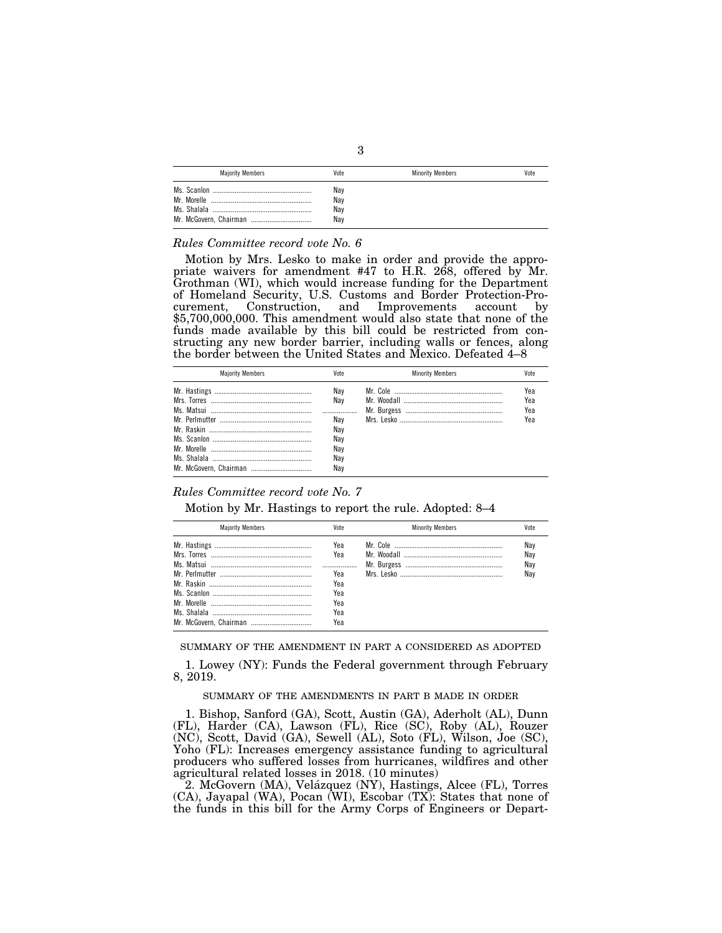| <b>Majority Members</b> | Vote                     | <b>Minority Members</b> | Vote |
|-------------------------|--------------------------|-------------------------|------|
|                         | Nay<br>Nay<br>Nay<br>Nav |                         |      |

### *Rules Committee record vote No. 6*

Motion by Mrs. Lesko to make in order and provide the appropriate waivers for amendment #47 to H.R. 268, offered by Mr. Grothman (WI), which would increase funding for the Department of Homeland Security, U.S. Customs and Border Protection-Procurement, Construction, and Improvements account by \$5,700,000,000. This amendment would also state that none of the funds made available by this bill could be restricted from constructing any new border barrier, including walls or fences, along the border between the United States and Mexico. Defeated 4–8

| <b>Maiority Members</b> | Vote                                   | <b>Minority Members</b> | Vote                     |
|-------------------------|----------------------------------------|-------------------------|--------------------------|
|                         | Nav<br>Nav<br>Nav<br>Nav<br>Nay<br>Nav |                         | Yea<br>Yea<br>Yea<br>Yea |
|                         | Nay<br>Nav                             |                         |                          |

# *Rules Committee record vote No. 7*

Motion by Mr. Hastings to report the rule. Adopted: 8–4

| <b>Maiority Members</b> | Vote                            | <b>Minority Members</b> |                          |
|-------------------------|---------------------------------|-------------------------|--------------------------|
|                         | Yea<br>Yea<br>Yea<br>Yea<br>Yea |                         | Nay<br>Nav<br>Nay<br>Nav |
|                         | Yea<br>Yea<br>Yea               |                         |                          |

SUMMARY OF THE AMENDMENT IN PART A CONSIDERED AS ADOPTED

1. Lowey (NY): Funds the Federal government through February 8, 2019.

### SUMMARY OF THE AMENDMENTS IN PART B MADE IN ORDER

1. Bishop, Sanford (GA), Scott, Austin (GA), Aderholt (AL), Dunn (FL), Harder (CA), Lawson (FL), Rice (SC), Roby (AL), Rouzer (NC), Scott, David (GA), Sewell (AL), Soto (FL), Wilson, Joe (SC), Yoho (FL): Increases emergency assistance funding to agricultural producers who suffered losses from hurricanes, wildfires and other agricultural related losses in 2018. (10 minutes)

2. McGovern (MA), Velázquez (NY), Hastings, Alcee (FL), Torres (CA), Jayapal (WA), Pocan (WI), Escobar (TX): States that none of the funds in this bill for the Army Corps of Engineers or Depart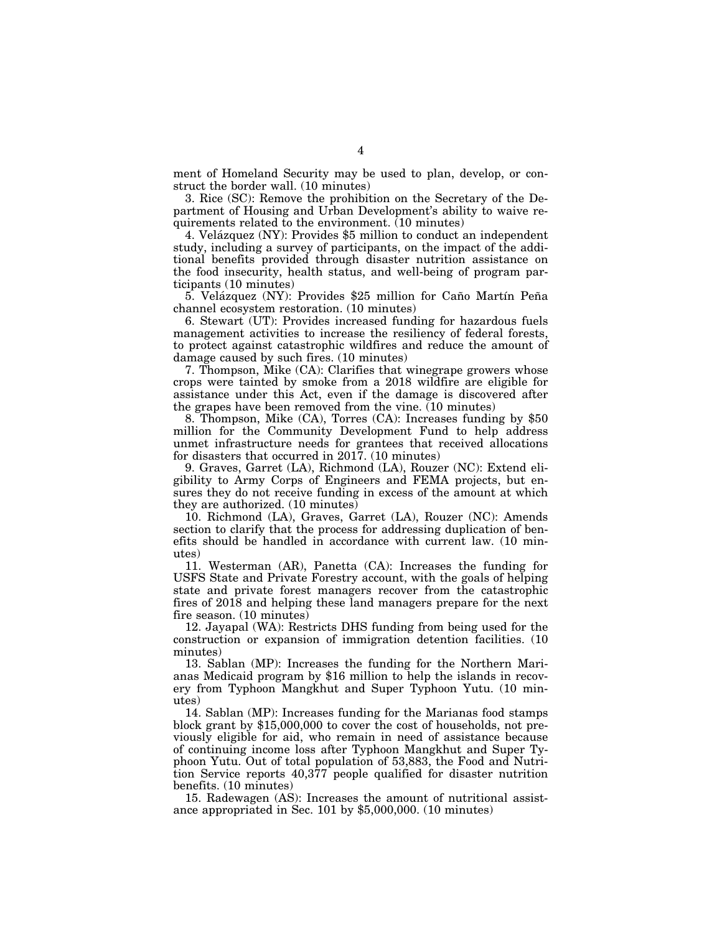ment of Homeland Security may be used to plan, develop, or construct the border wall. (10 minutes)

3. Rice (SC): Remove the prohibition on the Secretary of the Department of Housing and Urban Development's ability to waive requirements related to the environment. (10 minutes)

4. Velázquez (NY): Provides \$5 million to conduct an independent study, including a survey of participants, on the impact of the additional benefits provided through disaster nutrition assistance on the food insecurity, health status, and well-being of program participants (10 minutes)

5. Velázquez (NY): Provides \$25 million for Caño Martín Peña channel ecosystem restoration. (10 minutes)

6. Stewart (UT): Provides increased funding for hazardous fuels management activities to increase the resiliency of federal forests, to protect against catastrophic wildfires and reduce the amount of damage caused by such fires. (10 minutes)

7. Thompson, Mike (CA): Clarifies that winegrape growers whose crops were tainted by smoke from a 2018 wildfire are eligible for assistance under this Act, even if the damage is discovered after the grapes have been removed from the vine. (10 minutes)

8. Thompson, Mike (CA), Torres (CA): Increases funding by \$50 million for the Community Development Fund to help address unmet infrastructure needs for grantees that received allocations for disasters that occurred in 2017. (10 minutes)

9. Graves, Garret (LA), Richmond (LA), Rouzer (NC): Extend eligibility to Army Corps of Engineers and FEMA projects, but ensures they do not receive funding in excess of the amount at which they are authorized. (10 minutes)

10. Richmond (LA), Graves, Garret (LA), Rouzer (NC): Amends section to clarify that the process for addressing duplication of benefits should be handled in accordance with current law. (10 minutes)

11. Westerman (AR), Panetta (CA): Increases the funding for USFS State and Private Forestry account, with the goals of helping state and private forest managers recover from the catastrophic fires of 2018 and helping these land managers prepare for the next fire season. (10 minutes)

12. Jayapal (WA): Restricts DHS funding from being used for the construction or expansion of immigration detention facilities. (10 minutes)

13. Sablan (MP): Increases the funding for the Northern Marianas Medicaid program by \$16 million to help the islands in recovery from Typhoon Mangkhut and Super Typhoon Yutu. (10 minutes)

14. Sablan (MP): Increases funding for the Marianas food stamps block grant by \$15,000,000 to cover the cost of households, not previously eligible for aid, who remain in need of assistance because of continuing income loss after Typhoon Mangkhut and Super Typhoon Yutu. Out of total population of 53,883, the Food and Nutrition Service reports 40,377 people qualified for disaster nutrition benefits. (10 minutes)

15. Radewagen (AS): Increases the amount of nutritional assistance appropriated in Sec. 101 by \$5,000,000. (10 minutes)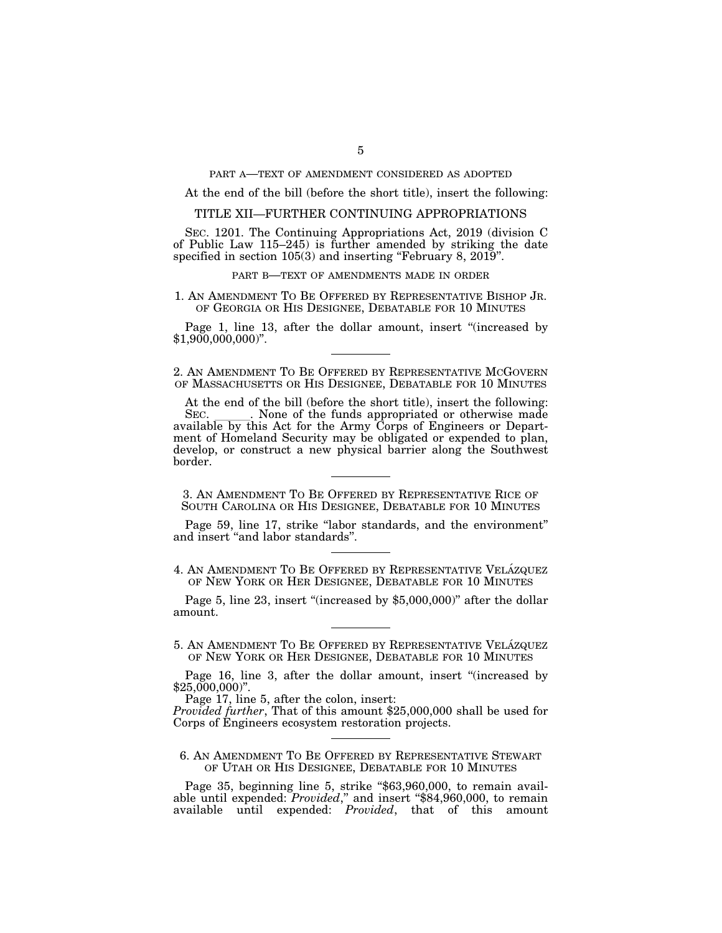PART A—TEXT OF AMENDMENT CONSIDERED AS ADOPTED

At the end of the bill (before the short title), insert the following:

### TITLE XII—FURTHER CONTINUING APPROPRIATIONS

SEC. 1201. The Continuing Appropriations Act, 2019 (division C of Public Law 115–245) is further amended by striking the date specified in section 105(3) and inserting "February 8, 2019".

### PART B—TEXT OF AMENDMENTS MADE IN ORDER

## 1. AN AMENDMENT TO BE OFFERED BY REPRESENTATIVE BISHOP JR. OF GEORGIA OR HIS DESIGNEE, DEBATABLE FOR 10 MINUTES

Page 1, line 13, after the dollar amount, insert "(increased by \$1,900,000,000)".

2. AN AMENDMENT TO BE OFFERED BY REPRESENTATIVE MCGOVERN OF MASSACHUSETTS OR HIS DESIGNEE, DEBATABLE FOR 10 MINUTES

At the end of the bill (before the short title), insert the following:<br>SEC. \_\_\_\_\_\_\_. None of the funds appropriated or otherwise made SEC. Such a None of the funds appropriated or otherwise made available by this Act for the Army Corps of Engineers or Department of Homeland Security may be obligated or expended to plan, develop, or construct a new physical barrier along the Southwest border.

3. AN AMENDMENT TO BE OFFERED BY REPRESENTATIVE RICE OF SOUTH CAROLINA OR HIS DESIGNEE, DEBATABLE FOR 10 MINUTES

Page 59, line 17, strike "labor standards, and the environment" and insert ''and labor standards''.

4. AN AMENDMENT TO BE OFFERED BY REPRESENTATIVE VELÁZQUEZ OF NEW YORK OR HER DESIGNEE, DEBATABLE FOR 10 MINUTES

Page 5, line 23, insert "(increased by \$5,000,000)" after the dollar amount.

5. AN AMENDMENT TO BE OFFERED BY REPRESENTATIVE VELÁZQUEZ OF NEW YORK OR HER DESIGNEE, DEBATABLE FOR 10 MINUTES

Page 16, line 3, after the dollar amount, insert "(increased by  $$25,000,000$ ".

Page 17, line 5, after the colon, insert:

*Provided further*, That of this amount \$25,000,000 shall be used for Corps of Engineers ecosystem restoration projects.

6. AN AMENDMENT TO BE OFFERED BY REPRESENTATIVE STEWART OF UTAH OR HIS DESIGNEE, DEBATABLE FOR 10 MINUTES

Page 35, beginning line 5, strike "\$63,960,000, to remain available until expended: *Provided*," and insert "\$84,960,000, to remain available until expended: *Provided*, that of this amount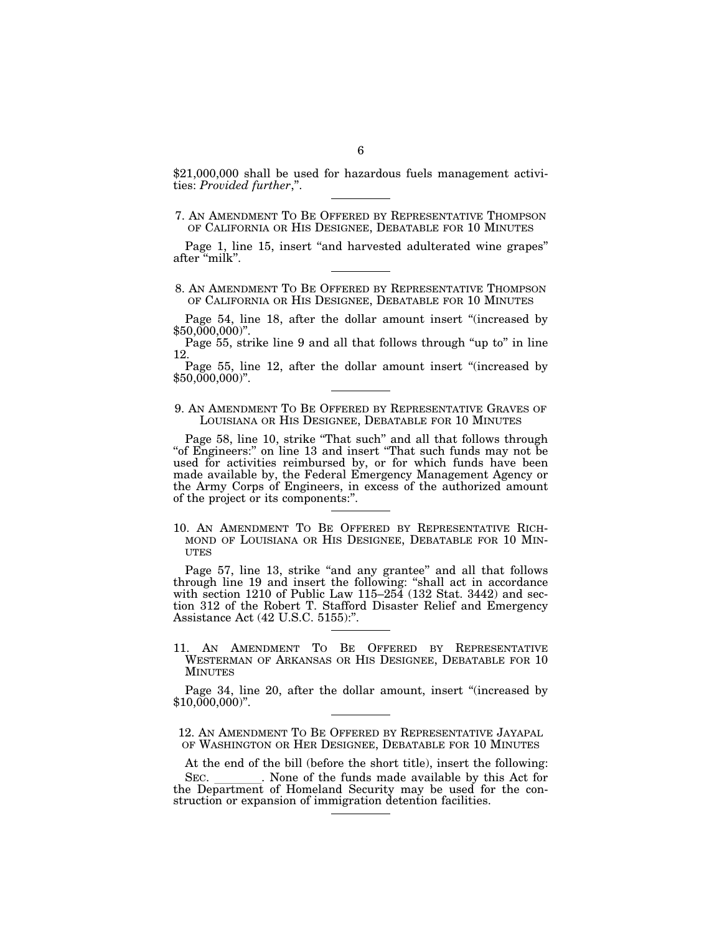\$21,000,000 shall be used for hazardous fuels management activities: *Provided further*,''.

# 7. AN AMENDMENT TO BE OFFERED BY REPRESENTATIVE THOMPSON OF CALIFORNIA OR HIS DESIGNEE, DEBATABLE FOR 10 MINUTES

Page 1, line 15, insert "and harvested adulterated wine grapes" after ''milk''.

8. AN AMENDMENT TO BE OFFERED BY REPRESENTATIVE THOMPSON OF CALIFORNIA OR HIS DESIGNEE, DEBATABLE FOR 10 MINUTES

Page 54, line 18, after the dollar amount insert "(increased by  $$50,000,000$ ".

Page 55, strike line 9 and all that follows through "up to" in line 12.

Page 55, line 12, after the dollar amount insert "(increased by \$50,000,000)''.

## 9. AN AMENDMENT TO BE OFFERED BY REPRESENTATIVE GRAVES OF LOUISIANA OR HIS DESIGNEE, DEBATABLE FOR 10 MINUTES

Page 58, line 10, strike "That such" and all that follows through "of Engineers:" on line 13 and insert "That such funds may not be used for activities reimbursed by, or for which funds have been made available by, the Federal Emergency Management Agency or the Army Corps of Engineers, in excess of the authorized amount of the project or its components:''.

10. AN AMENDMENT TO BE OFFERED BY REPRESENTATIVE RICH-MOND OF LOUISIANA OR HIS DESIGNEE, DEBATABLE FOR 10 MIN-**UTES** 

Page 57, line 13, strike "and any grantee" and all that follows through line 19 and insert the following: ''shall act in accordance with section 1210 of Public Law 115-254 (132 Stat. 3442) and section 312 of the Robert T. Stafford Disaster Relief and Emergency Assistance Act (42 U.S.C. 5155):''.

11. AN AMENDMENT TO BE OFFERED BY REPRESENTATIVE WESTERMAN OF ARKANSAS OR HIS DESIGNEE, DEBATABLE FOR 10 MINUTES

Page 34, line 20, after the dollar amount, insert "(increased by \$10,000,000)".

12. AN AMENDMENT TO BE OFFERED BY REPRESENTATIVE JAYAPAL OF WASHINGTON OR HER DESIGNEE, DEBATABLE FOR 10 MINUTES

At the end of the bill (before the short title), insert the following: SEC. Such a None of the funds made available by this Act for the Department of Homeland Security may be used for the construction or expansion of immigration detention facilities.